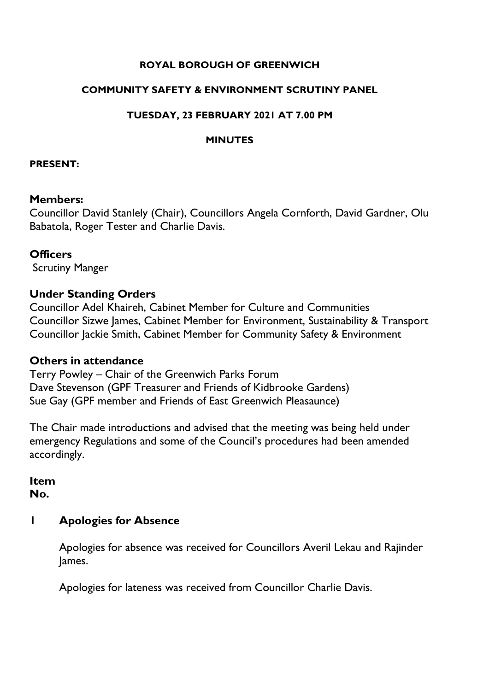#### **ROYAL BOROUGH OF GREENWICH**

#### **COMMUNITY SAFETY & ENVIRONMENT SCRUTINY PANEL**

#### **TUESDAY, 23 FEBRUARY 2021 AT 7.00 PM**

#### **MINUTES**

#### **PRESENT:**

#### **Members:**

Councillor David Stanlely (Chair), Councillors Angela Cornforth, David Gardner, Olu Babatola, Roger Tester and Charlie Davis.

#### **Officers**

Scrutiny Manger

### **Under Standing Orders**

Councillor Adel Khaireh, Cabinet Member for Culture and Communities Councillor Sizwe James, Cabinet Member for Environment, Sustainability & Transport Councillor Jackie Smith, Cabinet Member for Community Safety & Environment

#### **Others in attendance**

Terry Powley – Chair of the Greenwich Parks Forum Dave Stevenson (GPF Treasurer and Friends of Kidbrooke Gardens) Sue Gay (GPF member and Friends of East Greenwich Pleasaunce)

The Chair made introductions and advised that the meeting was being held under emergency Regulations and some of the Council's procedures had been amended accordingly.

**Item No.** 

#### **1 Apologies for Absence**

Apologies for absence was received for Councillors Averil Lekau and Rajinder James.

Apologies for lateness was received from Councillor Charlie Davis.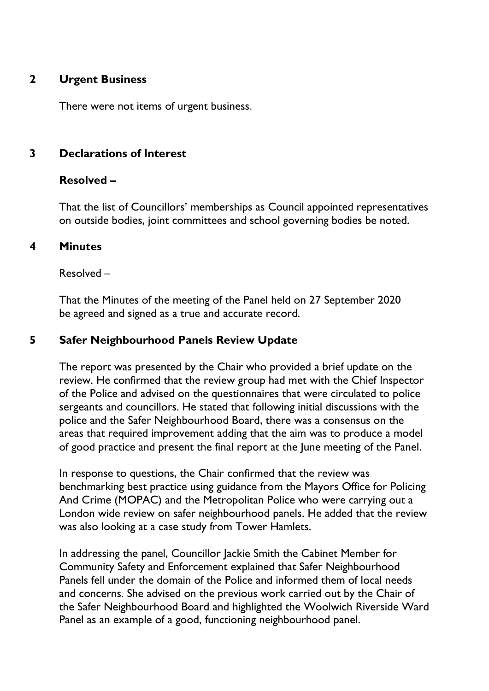### **2 Urgent Business**

There were not items of urgent business.

### **3 Declarations of Interest**

### **Resolved –**

That the list of Councillors' memberships as Council appointed representatives on outside bodies, joint committees and school governing bodies be noted.

#### **4 Minutes**

Resolved –

That the Minutes of the meeting of the Panel held on 27 September 2020 be agreed and signed as a true and accurate record.

### **5 Safer Neighbourhood Panels Review Update**

The report was presented by the Chair who provided a brief update on the review. He confirmed that the review group had met with the Chief Inspector of the Police and advised on the questionnaires that were circulated to police sergeants and councillors. He stated that following initial discussions with the police and the Safer Neighbourhood Board, there was a consensus on the areas that required improvement adding that the aim was to produce a model of good practice and present the final report at the June meeting of the Panel.

In response to questions, the Chair confirmed that the review was benchmarking best practice using guidance from the Mayors Office for Policing And Crime (MOPAC) and the Metropolitan Police who were carrying out a London wide review on safer neighbourhood panels. He added that the review was also looking at a case study from Tower Hamlets.

In addressing the panel, Councillor Jackie Smith the Cabinet Member for Community Safety and Enforcement explained that Safer Neighbourhood Panels fell under the domain of the Police and informed them of local needs and concerns. She advised on the previous work carried out by the Chair of the Safer Neighbourhood Board and highlighted the Woolwich Riverside Ward Panel as an example of a good, functioning neighbourhood panel.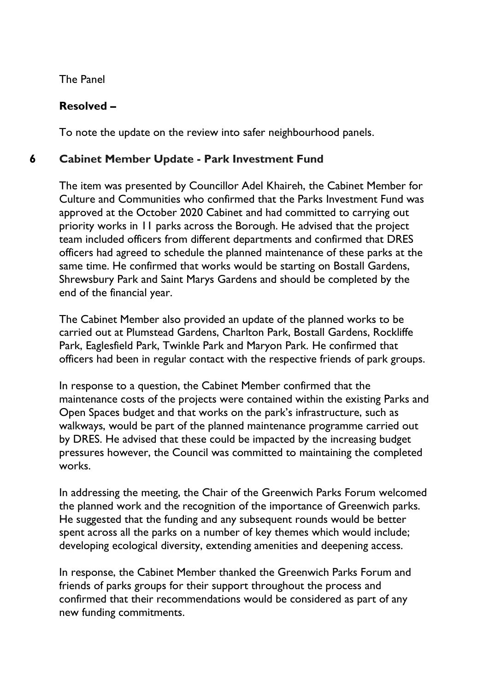The Panel

## **Resolved –**

To note the update on the review into safer neighbourhood panels.

## **6 Cabinet Member Update - Park [Investment](https://committees.royalgreenwich.gov.uk/Document.ashx?czJKcaeAi5tUFL1DTL2UE4zNRBcoShgo=VxVNvn4SXcfXhQrqY7B0IiVG3yj7J5lX5RUfIW5DPYsonsJ8%2bFuCpw%3d%3d&rUzwRPf%2bZ3zd4E7Ikn8Lyw%3d%3d=pwRE6AGJFLDNlh225F5QMaQWCtPHwdhUfCZ%2fLUQzgA2uL5jNRG4jdQ%3d%3d&mCTIbCubSFfXsDGW9IXnlg%3d%3d=hFflUdN3100%3d&kCx1AnS9%2fpWZQ40DXFvdEw%3d%3d=hFflUdN3100%3d&uJovDxwdjMPoYv%2bAJvYtyA%3d%3d=ctNJFf55vVA%3d&FgPlIEJYlotS%2bYGoBi5olA%3d%3d=NHdURQburHA%3d&d9Qjj0ag1Pd993jsyOJqFvmyB7X0CSQK=ctNJFf55vVA%3d&WGewmoAfeNR9xqBux0r1Q8Za60lavYmz=ctNJFf55vVA%3d&WGewmoAfeNQ16B2MHuCpMRKZMwaG1PaO=ctNJFf55vVA%3d) Fund**

The item was presented by Councillor Adel Khaireh, the Cabinet Member for Culture and Communities who confirmed that the Parks Investment Fund was approved at the October 2020 Cabinet and had committed to carrying out priority works in 11 parks across the Borough. He advised that the project team included officers from different departments and confirmed that DRES officers had agreed to schedule the planned maintenance of these parks at the same time. He confirmed that works would be starting on Bostall Gardens, Shrewsbury Park and Saint Marys Gardens and should be completed by the end of the financial year.

The Cabinet Member also provided an update of the planned works to be carried out at Plumstead Gardens, Charlton Park, Bostall Gardens, Rockliffe Park, Eaglesfield Park, Twinkle Park and Maryon Park. He confirmed that officers had been in regular contact with the respective friends of park groups.

In response to a question, the Cabinet Member confirmed that the maintenance costs of the projects were contained within the existing Parks and Open Spaces budget and that works on the park's infrastructure, such as walkways, would be part of the planned maintenance programme carried out by DRES. He advised that these could be impacted by the increasing budget pressures however, the Council was committed to maintaining the completed works.

In addressing the meeting, the Chair of the Greenwich Parks Forum welcomed the planned work and the recognition of the importance of Greenwich parks. He suggested that the funding and any subsequent rounds would be better spent across all the parks on a number of key themes which would include; developing ecological diversity, extending amenities and deepening access.

In response, the Cabinet Member thanked the Greenwich Parks Forum and friends of parks groups for their support throughout the process and confirmed that their recommendations would be considered as part of any new funding commitments.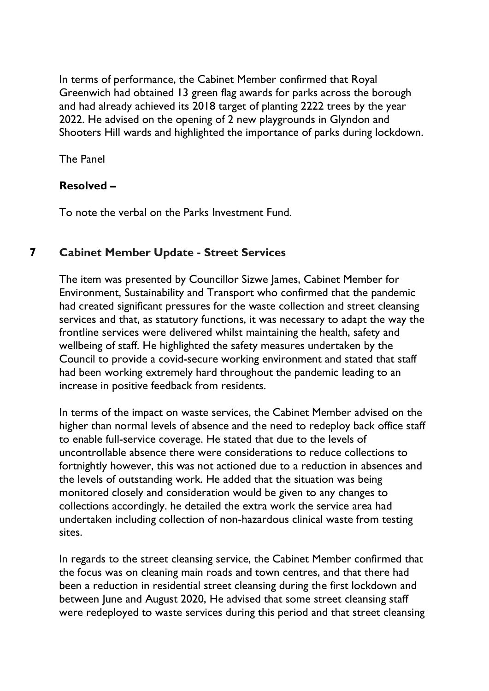In terms of performance, the Cabinet Member confirmed that Royal Greenwich had obtained 13 green flag awards for parks across the borough and had already achieved its 2018 target of planting 2222 trees by the year 2022. He advised on the opening of 2 new playgrounds in Glyndon and Shooters Hill wards and highlighted the importance of parks during lockdown.

The Panel

## **Resolved –**

To note the verbal on the Parks Investment Fund.

## **7 Cabinet [Member](https://committees.royalgreenwich.gov.uk/Document.ashx?czJKcaeAi5tUFL1DTL2UE4zNRBcoShgo=CHTUS0ZgA%2bP7rYFJJWED3vpj7EcB%2f0D0JUmO2f%2fxw2vBohJ4sw9O4g%3d%3d&rUzwRPf%2bZ3zd4E7Ikn8Lyw%3d%3d=pwRE6AGJFLDNlh225F5QMaQWCtPHwdhUfCZ%2fLUQzgA2uL5jNRG4jdQ%3d%3d&mCTIbCubSFfXsDGW9IXnlg%3d%3d=hFflUdN3100%3d&kCx1AnS9%2fpWZQ40DXFvdEw%3d%3d=hFflUdN3100%3d&uJovDxwdjMPoYv%2bAJvYtyA%3d%3d=ctNJFf55vVA%3d&FgPlIEJYlotS%2bYGoBi5olA%3d%3d=NHdURQburHA%3d&d9Qjj0ag1Pd993jsyOJqFvmyB7X0CSQK=ctNJFf55vVA%3d&WGewmoAfeNR9xqBux0r1Q8Za60lavYmz=ctNJFf55vVA%3d&WGewmoAfeNQ16B2MHuCpMRKZMwaG1PaO=ctNJFf55vVA%3d) Update - Street Services**

The item was presented by Councillor Sizwe James, Cabinet Member for Environment, Sustainability and Transport who confirmed that the pandemic had created significant pressures for the waste collection and street cleansing services and that, as statutory functions, it was necessary to adapt the way the frontline services were delivered whilst maintaining the health, safety and wellbeing of staff. He highlighted the safety measures undertaken by the Council to provide a covid-secure working environment and stated that staff had been working extremely hard throughout the pandemic leading to an increase in positive feedback from residents.

In terms of the impact on waste services, the Cabinet Member advised on the higher than normal levels of absence and the need to redeploy back office staff to enable full-service coverage. He stated that due to the levels of uncontrollable absence there were considerations to reduce collections to fortnightly however, this was not actioned due to a reduction in absences and the levels of outstanding work. He added that the situation was being monitored closely and consideration would be given to any changes to collections accordingly. he detailed the extra work the service area had undertaken including collection of non-hazardous clinical waste from testing sites.

In regards to the street cleansing service, the Cabinet Member confirmed that the focus was on cleaning main roads and town centres, and that there had been a reduction in residential street cleansing during the first lockdown and between June and August 2020, He advised that some street cleansing staff were redeployed to waste services during this period and that street cleansing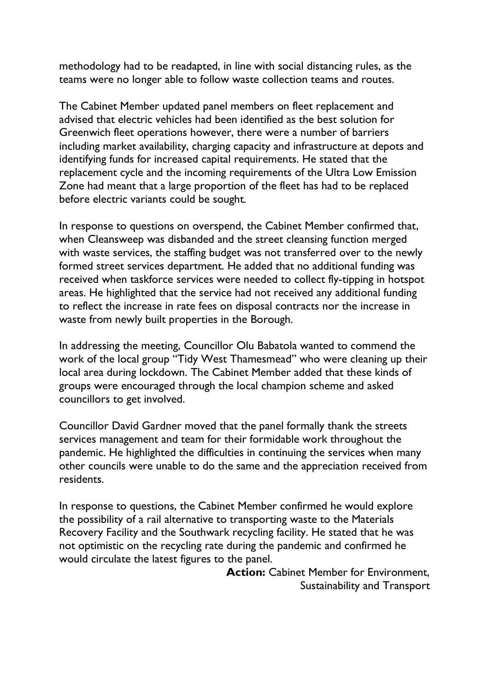methodology had to be readapted, in line with social distancing rules, as the teams were no longer able to follow waste collection teams and routes.

The Cabinet Member updated panel members on fleet replacement and advised that electric vehicles had been identified as the best solution for Greenwich fleet operations however, there were a number of barriers including market availability, charging capacity and infrastructure at depots and identifying funds for increased capital requirements. He stated that the replacement cycle and the incoming requirements of the Ultra Low Emission Zone had meant that a large proportion of the fleet has had to be replaced before electric variants could be sought.

In response to questions on overspend, the Cabinet Member confirmed that, when Cleansweep was disbanded and the street cleansing function merged with waste services, the staffing budget was not transferred over to the newly formed street services department. He added that no additional funding was received when taskforce services were needed to collect fly-tipping in hotspot areas. He highlighted that the service had not received any additional funding to reflect the increase in rate fees on disposal contracts nor the increase in waste from newly built properties in the Borough.

In addressing the meeting, Councillor Olu Babatola wanted to commend the work of the local group "Tidy West Thamesmead" who were cleaning up their local area during lockdown. The Cabinet Member added that these kinds of groups were encouraged through the local champion scheme and asked councillors to get involved.

Councillor David Gardner moved that the panel formally thank the streets services management and team for their formidable work throughout the pandemic. He highlighted the difficulties in continuing the services when many other councils were unable to do the same and the appreciation received from residents.

In response to questions, the Cabinet Member confirmed he would explore the possibility of a rail alternative to transporting waste to the Materials Recovery Facility and the Southwark recycling facility. He stated that he was not optimistic on the recycling rate during the pandemic and confirmed he would circulate the latest figures to the panel.

> **Action:** Cabinet Member for Environment, Sustainability and Transport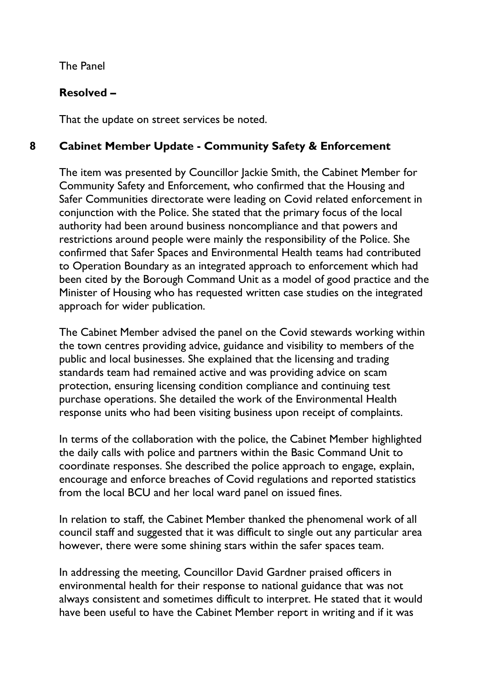The Panel

# **Resolved –**

That the update on street services be noted.

# **8 Cabinet Member Update - Community Safety & Enforcement**

The item was presented by Councillor Jackie Smith, the Cabinet Member for Community Safety and Enforcement, who confirmed that the Housing and Safer Communities directorate were leading on Covid related enforcement in conjunction with the Police. She stated that the primary focus of the local authority had been around business noncompliance and that powers and restrictions around people were mainly the responsibility of the Police. She confirmed that Safer Spaces and Environmental Health teams had contributed to Operation Boundary as an integrated approach to enforcement which had been cited by the Borough Command Unit as a model of good practice and the Minister of Housing who has requested written case studies on the integrated approach for wider publication.

The Cabinet Member advised the panel on the Covid stewards working within the town centres providing advice, guidance and visibility to members of the public and local businesses. She explained that the licensing and trading standards team had remained active and was providing advice on scam protection, ensuring licensing condition compliance and continuing test purchase operations. She detailed the work of the Environmental Health response units who had been visiting business upon receipt of complaints.

In terms of the collaboration with the police, the Cabinet Member highlighted the daily calls with police and partners within the Basic Command Unit to coordinate responses. She described the police approach to engage, explain, encourage and enforce breaches of Covid regulations and reported statistics from the local BCU and her local ward panel on issued fines.

In relation to staff, the Cabinet Member thanked the phenomenal work of all council staff and suggested that it was difficult to single out any particular area however, there were some shining stars within the safer spaces team.

In addressing the meeting, Councillor David Gardner praised officers in environmental health for their response to national guidance that was not always consistent and sometimes difficult to interpret. He stated that it would have been useful to have the Cabinet Member report in writing and if it was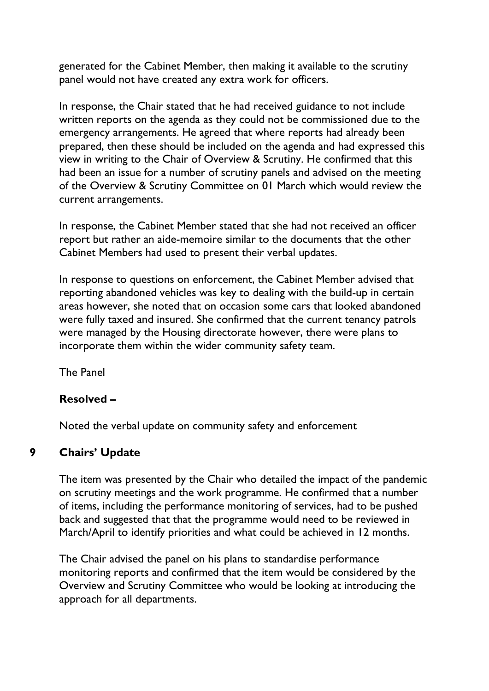generated for the Cabinet Member, then making it available to the scrutiny panel would not have created any extra work for officers.

In response, the Chair stated that he had received guidance to not include written reports on the agenda as they could not be commissioned due to the emergency arrangements. He agreed that where reports had already been prepared, then these should be included on the agenda and had expressed this view in writing to the Chair of Overview & Scrutiny. He confirmed that this had been an issue for a number of scrutiny panels and advised on the meeting of the Overview & Scrutiny Committee on 01 March which would review the current arrangements.

In response, the Cabinet Member stated that she had not received an officer report but rather an aide-memoire similar to the documents that the other Cabinet Members had used to present their verbal updates.

In response to questions on enforcement, the Cabinet Member advised that reporting abandoned vehicles was key to dealing with the build-up in certain areas however, she noted that on occasion some cars that looked abandoned were fully taxed and insured. She confirmed that the current tenancy patrols were managed by the Housing directorate however, there were plans to incorporate them within the wider community safety team.

The Panel

## **Resolved –**

Noted the verbal update on community safety and enforcement

## **9 Chairs' Update**

The item was presented by the Chair who detailed the impact of the pandemic on scrutiny meetings and the work programme. He confirmed that a number of items, including the performance monitoring of services, had to be pushed back and suggested that that the programme would need to be reviewed in March/April to identify priorities and what could be achieved in 12 months.

The Chair advised the panel on his plans to standardise performance monitoring reports and confirmed that the item would be considered by the Overview and Scrutiny Committee who would be looking at introducing the approach for all departments.